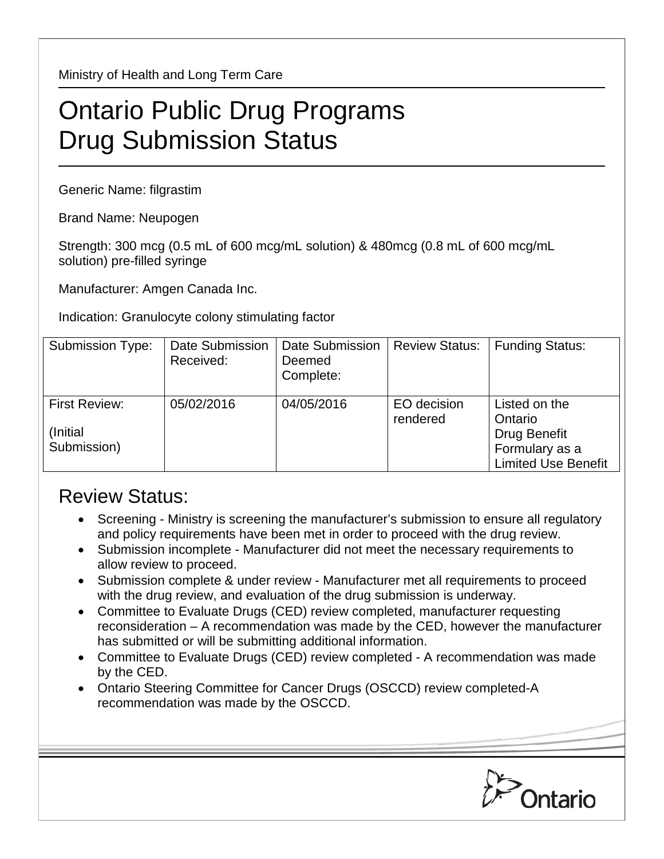Ministry of Health and Long Term Care

## Ontario Public Drug Programs Drug Submission Status

Generic Name: filgrastim

Brand Name: Neupogen

Strength: 300 mcg (0.5 mL of 600 mcg/mL solution) & 480mcg (0.8 mL of 600 mcg/mL solution) pre-filled syringe

Manufacturer: Amgen Canada Inc.

Indication: Granulocyte colony stimulating factor

| <b>Submission Type:</b>                          | <b>Date Submission</b><br>Received: | Date Submission<br>Deemed<br>Complete: | <b>Review Status:</b>   | <b>Funding Status:</b>                                                                   |
|--------------------------------------------------|-------------------------------------|----------------------------------------|-------------------------|------------------------------------------------------------------------------------------|
| <b>First Review:</b><br>(Initial)<br>Submission) | 05/02/2016                          | 04/05/2016                             | EO decision<br>rendered | Listed on the<br>Ontario<br>Drug Benefit<br>Formulary as a<br><b>Limited Use Benefit</b> |

## Review Status:

- Screening Ministry is screening the manufacturer's submission to ensure all regulatory and policy requirements have been met in order to proceed with the drug review.
- Submission incomplete Manufacturer did not meet the necessary requirements to allow review to proceed.
- Submission complete & under review Manufacturer met all requirements to proceed with the drug review, and evaluation of the drug submission is underway.
- Committee to Evaluate Drugs (CED) review completed, manufacturer requesting reconsideration – A recommendation was made by the CED, however the manufacturer has submitted or will be submitting additional information.
- Committee to Evaluate Drugs (CED) review completed A recommendation was made by the CED.
- Ontario Steering Committee for Cancer Drugs (OSCCD) review completed-A recommendation was made by the OSCCD.